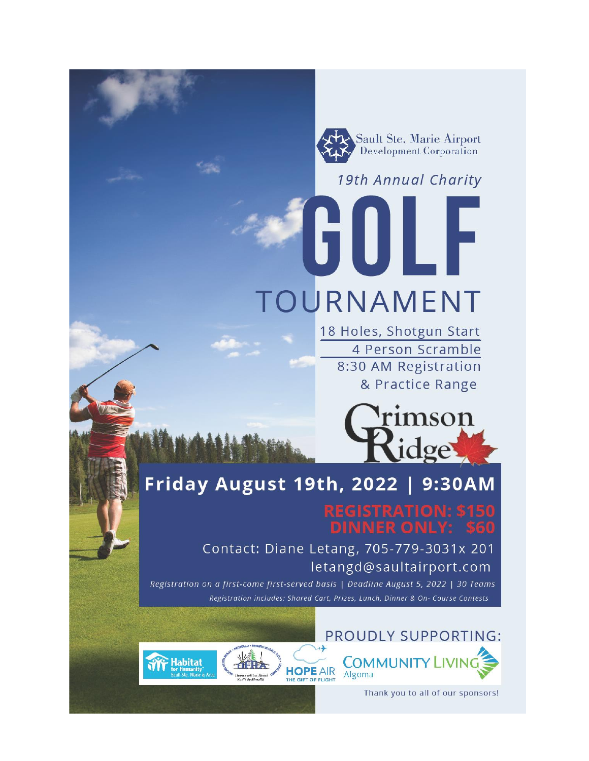Sault Ste. Marie Airport **Development Corporation** 

19th Annual Charity

TOURNAMENT

18 Holes, Shotgun Start 4 Person Scramble 8:30 AM Registration & Practice Range



# Friday August 19th, 2022 | 9:30AM

Contact: Diane Letang, 705-779-3031x 201 letangd@saultairport.com

Registration on a first-come first-served basis | Deadline August 5, 2022 | 30 Teams Registration includes: Shared Cart, Prizes, Lunch, Dinner & On- Course Contests

**HOPE AIR** 

**IE GIFT OF FLIGHT** 

**Habitat** 

## PROUDLY SUPPORTING:

VER ONL



Thank you to all of our sponsors!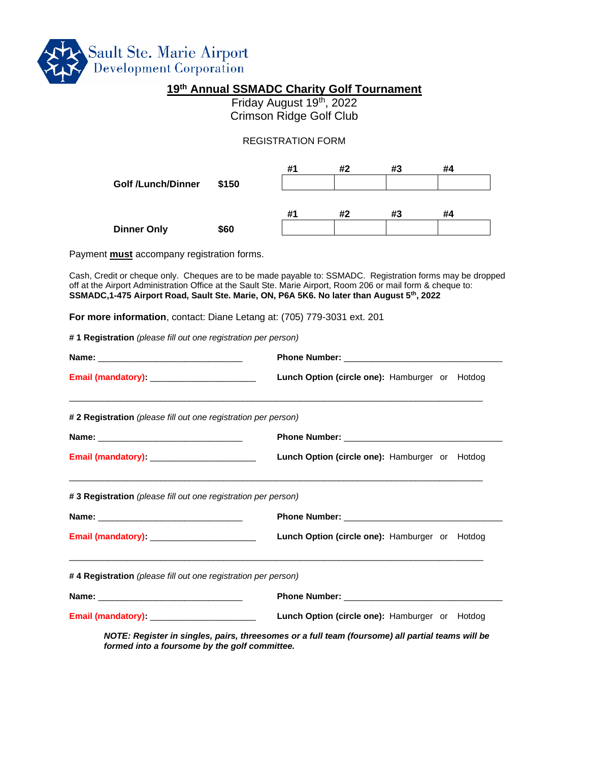

#### **19th Annual SSMADC Charity Golf Tournament**

Friday August 19<sup>th</sup>, 2022 Crimson Ridge Golf Club

#### REGISTRATION FORM

|                           |       | #1 | #2 | #3 | #4 |
|---------------------------|-------|----|----|----|----|
| <b>Golf /Lunch/Dinner</b> | \$150 |    |    |    |    |
|                           |       |    |    |    |    |
|                           |       | #1 | #2 | #3 | #4 |
| <b>Dinner Only</b>        | \$60  |    |    |    |    |

Payment **must** accompany registration forms.

Cash, Credit or cheque only. Cheques are to be made payable to: SSMADC. Registration forms may be dropped off at the Airport Administration Office at the Sault Ste. Marie Airport, Room 206 or mail form & cheque to: **SSMADC,1-475 Airport Road, Sault Ste. Marie, ON, P6A 5K6. No later than August 5th, 2022**

**For more information**, contact: Diane Letang at: (705) 779-3031 ext. 201

**# 1 Registration** *(please fill out one registration per person)*

| Email (mandatory): _________________________                   | Lunch Option (circle one): Hamburger or Hotdog                                                   |  |  |
|----------------------------------------------------------------|--------------------------------------------------------------------------------------------------|--|--|
| # 2 Registration (please fill out one registration per person) |                                                                                                  |  |  |
|                                                                |                                                                                                  |  |  |
| Email (mandatory): _________________________                   | Lunch Option (circle one): Hamburger or Hotdog                                                   |  |  |
| #3 Registration (please fill out one registration per person)  |                                                                                                  |  |  |
|                                                                |                                                                                                  |  |  |
|                                                                | Lunch Option (circle one): Hamburger or Hotdog                                                   |  |  |
| #4 Registration (please fill out one registration per person)  |                                                                                                  |  |  |
|                                                                |                                                                                                  |  |  |
|                                                                | Lunch Option (circle one): Hamburger or Hotdog                                                   |  |  |
| formed into a foursome by the golf committee.                  | NOTE: Register in singles, pairs, threesomes or a full team (foursome) all partial teams will be |  |  |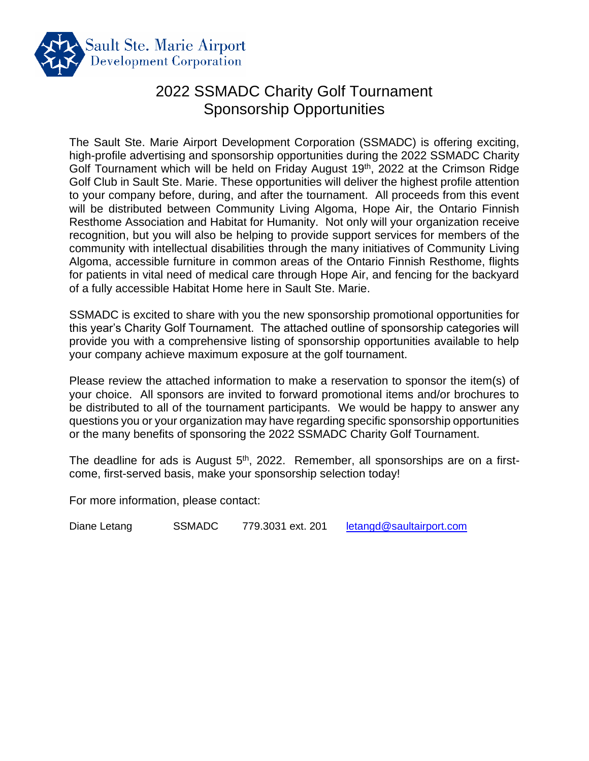

## 2022 SSMADC Charity Golf Tournament Sponsorship Opportunities

The Sault Ste. Marie Airport Development Corporation (SSMADC) is offering exciting, high-profile advertising and sponsorship opportunities during the 2022 SSMADC Charity Golf Tournament which will be held on Friday August 19<sup>th</sup>, 2022 at the Crimson Ridge Golf Club in Sault Ste. Marie. These opportunities will deliver the highest profile attention to your company before, during, and after the tournament. All proceeds from this event will be distributed between Community Living Algoma, Hope Air, the Ontario Finnish Resthome Association and Habitat for Humanity. Not only will your organization receive recognition, but you will also be helping to provide support services for members of the community with intellectual disabilities through the many initiatives of Community Living Algoma, accessible furniture in common areas of the Ontario Finnish Resthome, flights for patients in vital need of medical care through Hope Air, and fencing for the backyard of a fully accessible Habitat Home here in Sault Ste. Marie.

SSMADC is excited to share with you the new sponsorship promotional opportunities for this year's Charity Golf Tournament. The attached outline of sponsorship categories will provide you with a comprehensive listing of sponsorship opportunities available to help your company achieve maximum exposure at the golf tournament.

Please review the attached information to make a reservation to sponsor the item(s) of your choice. All sponsors are invited to forward promotional items and/or brochures to be distributed to all of the tournament participants. We would be happy to answer any questions you or your organization may have regarding specific sponsorship opportunities or the many benefits of sponsoring the 2022 SSMADC Charity Golf Tournament.

The deadline for ads is August 5<sup>th</sup>, 2022. Remember, all sponsorships are on a firstcome, first-served basis, make your sponsorship selection today!

For more information, please contact:

Diane Letang SSMADC 779.3031 ext. 201 [letangd@saultairport.com](mailto:letangd@saultairport.com)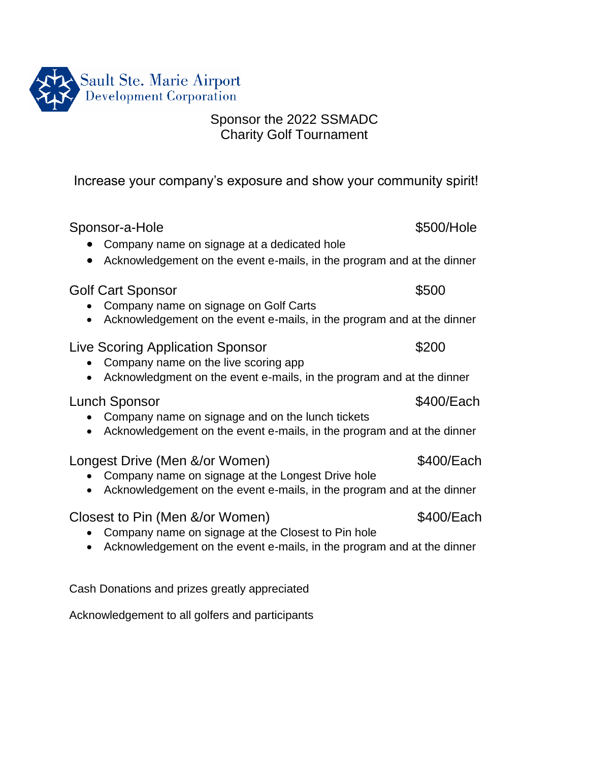

### Sponsor the 2022 SSMADC Charity Golf Tournament

Increase your company's exposure and show your community spirit!

| Sponsor-a-Hole                                                                                                               | \$500/Hole |  |  |  |
|------------------------------------------------------------------------------------------------------------------------------|------------|--|--|--|
| Company name on signage at a dedicated hole<br>Acknowledgement on the event e-mails, in the program and at the dinner        |            |  |  |  |
| <b>Golf Cart Sponsor</b><br>Company name on signage on Golf Carts                                                            | \$500      |  |  |  |
| Acknowledgement on the event e-mails, in the program and at the dinner                                                       |            |  |  |  |
| Live Scoring Application Sponsor<br>Company name on the live scoring app                                                     | \$200      |  |  |  |
| Acknowledgment on the event e-mails, in the program and at the dinner                                                        |            |  |  |  |
| Lunch Sponsor<br>Company name on signage and on the lunch tickets                                                            | \$400/Each |  |  |  |
| Acknowledgement on the event e-mails, in the program and at the dinner                                                       |            |  |  |  |
| Longest Drive (Men &/or Women)                                                                                               | \$400/Each |  |  |  |
| Company name on signage at the Longest Drive hole<br>Acknowledgement on the event e-mails, in the program and at the dinner  |            |  |  |  |
| Closest to Pin (Men &/or Women)                                                                                              | \$400/Each |  |  |  |
| Company name on signage at the Closest to Pin hole<br>Acknowledgement on the event e-mails, in the program and at the dinner |            |  |  |  |

Cash Donations and prizes greatly appreciated

Acknowledgement to all golfers and participants